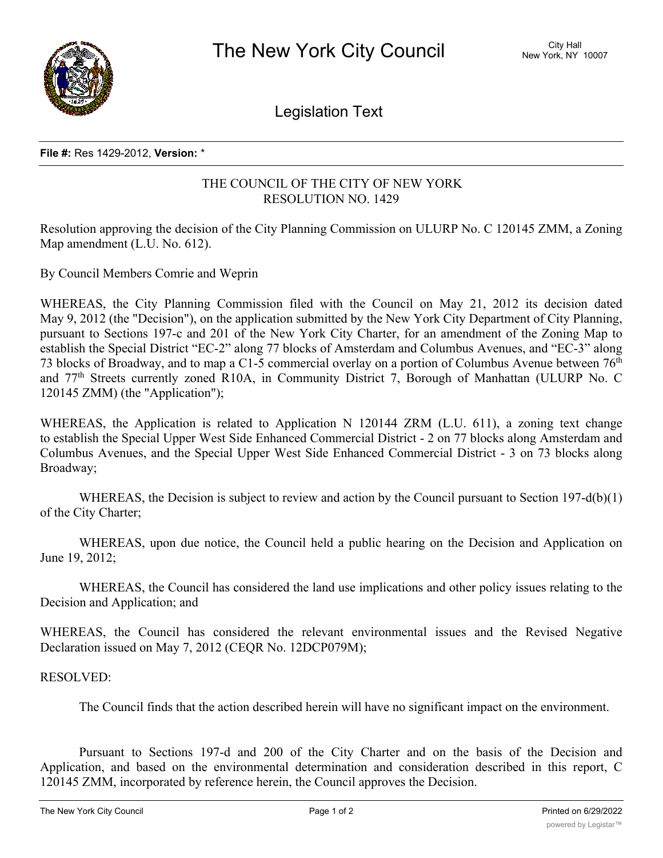

Legislation Text

## **File #:** Res 1429-2012, **Version:** \*

## THE COUNCIL OF THE CITY OF NEW YORK RESOLUTION NO. 1429

Resolution approving the decision of the City Planning Commission on ULURP No. C 120145 ZMM, a Zoning Map amendment (L.U. No. 612).

By Council Members Comrie and Weprin

WHEREAS, the City Planning Commission filed with the Council on May 21, 2012 its decision dated May 9, 2012 (the "Decision"), on the application submitted by the New York City Department of City Planning, pursuant to Sections 197-c and 201 of the New York City Charter, for an amendment of the Zoning Map to establish the Special District "EC-2" along 77 blocks of Amsterdam and Columbus Avenues, and "EC-3" along 73 blocks of Broadway, and to map a C1-5 commercial overlay on a portion of Columbus Avenue between  $76<sup>th</sup>$ and 77th Streets currently zoned R10A, in Community District 7, Borough of Manhattan (ULURP No. C 120145 ZMM) (the "Application");

WHEREAS, the Application is related to Application N 120144 ZRM (L.U. 611), a zoning text change to establish the Special Upper West Side Enhanced Commercial District - 2 on 77 blocks along Amsterdam and Columbus Avenues, and the Special Upper West Side Enhanced Commercial District - 3 on 73 blocks along Broadway;

WHEREAS, the Decision is subject to review and action by the Council pursuant to Section 197-d(b)(1) of the City Charter;

WHEREAS, upon due notice, the Council held a public hearing on the Decision and Application on June 19, 2012;

WHEREAS, the Council has considered the land use implications and other policy issues relating to the Decision and Application; and

WHEREAS, the Council has considered the relevant environmental issues and the Revised Negative Declaration issued on May 7, 2012 (CEQR No. 12DCP079M);

## RESOLVED:

The Council finds that the action described herein will have no significant impact on the environment.

Pursuant to Sections 197-d and 200 of the City Charter and on the basis of the Decision and Application, and based on the environmental determination and consideration described in this report, C 120145 ZMM, incorporated by reference herein, the Council approves the Decision.